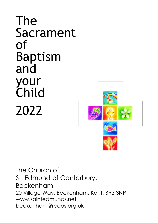# The Sacrament of Baptism and your Child 2022



The Church of St. Edmund of Canterbury, Beckenham 20 Village Way, Beckenham, Kent. BR3 3NP www.saintedmunds.net beckenham@rcaos.org.uk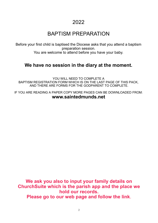# 2022

# BAPTISM PREPARATION

Before your first child is baptised the Diocese asks that you attend a baptism preparation session. You are welcome to attend before you have your baby.

## **We have no session in the diary at the moment.**

YOU WILL NEED TO COMPLETE A BAPTISM REGISTRATION FORM WHICH IS ON THE LAST PAGE OF THIS PACK, AND THERE ARE FORMS FOR THE GODPARENT TO COMPLETE.

IF YOU ARE READING A PAPER COPY MORE PAGES CAN BE DOWNLOADED FROM: **www.saintedmunds.net** 

**We ask you also to input your family details on ChurchSuite which is the parish app and the place we hold our records. Please go to our web page and follow the link**.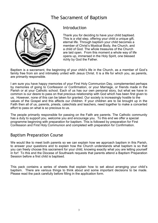# The Sacrament of Baptism



### Introduction

Thank you for deciding to have your child baptised. This is a vital step, offering your child a unique gift, eternal life. Through baptism your child becomes a member of Christ's Mystical Body, the Church, and a child of God. The whole treasures of the Church are laid open. From this moment a whole way of life opens up, immersed in the Holy Spirit, one blessed richly by God the Father.

Baptism is a sacrament, the beginning of your child's life in the Church, as a member of God's family free from sin and intimately united with Jesus Christ. It is a life for which you, as parents, are primarily responsible.

I am sure you have happy memories of your First Holy Communion Day, complemented perhaps by memories of going to Confession or Confirmation, or your Marriage, or friends made in the Parish or at your Catholic school. Each of us has our own personal story, but what we have in common is our desire to pass on that precious relationship with God which has been first given to us. However, none of this can be taken for granted. Our society is increasingly hostile to the values of the Gospel and this affects our children. If your children are to be brought up in the Faith then all of us, parents, priests, catechists and teachers, need together to make a concerted effort to pass on what is so precious to us.

The people primarily responsible for passing on the Faith are parents. The Catholic community has a duty to support you, welcome you and encourage you. To this end we offer a special programme beginning with preparation for baptism. This is followed by preparation for First Confession and First Holy Communion and completed with preparation for Confirmation.

### Baptism Preparation Course

We would like to meet both parents so we can explain how we approach baptism in this Parish, to answer your questions and to explain how the Church understands what baptism is so that you can freely choose this sacrament for your child, knowing exactly what you are letting yourself in for! To this end the Diocese of Southwark requests that parents attend a Baptism Preparation Session before a first child is baptised.

This pack contains a series of sheets that explain how to set about arranging your child's baptism. There are various things to think about and some important decisions to be made. Please read the pack carefully before filling in the application form.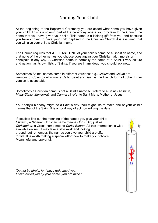# Naming Your Child

At the beginning of the Baptismal Ceremony you are asked what name you have given your child. This is a solemn part of the ceremony where you proclaim to the Church the name that you have given your child. This name is a lifelong gift from you and because you have chosen to have your child baptised in the Christian Church it is assumed that you will give your child a Christian name.

The Church requires that **AT LEAST ONE** of your child's name be a Christian name, and that none of the other names you choose goes against our Christian faith, morals or principals in any way. A Christian name is normally the name of a Saint. Every culture and nation has its own lists of Saints. If you are in any doubt you should ask now.

Sometimes Saints' names come in different versions: e.g., *Callum* and *Colum* are versions of Columba who was a Celtic Saint and *Jean* is the French form of John. Either version is acceptable.

Sometimes a Christian name is not a Saint's name but refers to a Saint - *Assunta, Maris-Stella, Monserrat* and *Carmel* all refer to Saint Mary, Mother of Jesus.

Your baby's birthday might be a Saint's day. You might like to make one of your child's names that of the Saint. It is a good way of acknowledging the date.

If possible find out the meaning of the names you give your child: *Chukwu,* a Nigerian Christian name means *God's Gift,* just as **Christopher, a Greek name means** *Christ Bearer***. All this information is wide- ly** ly available online. It may take a little work and looking around, but remember, the names you give your child are gifts for life. It is worth making a special effort now to make your choice Meaningful and prayerful. *'Do not be afraid, for I have redeemed you. I have called you by your name, you are mine.'*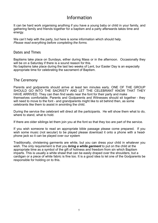### Information

It can be hard work organising anything if you have a young baby or child in your family, and gathering family and friends together for a baptism and a party afterwards takes time and energy.

We can't help with the party, but here is some information which should help. *Please read everything before completing the forms.*

#### Dates and Times

Baptisms take place on Sundays, either during Mass or in the afternoon. Occasionally they will be on a Saturday if there is a sound reason for this.

No baptisms take place during the last two weeks of Lent, bur Easter Day is an especially appropriate time for celebrating the sacrament of Baptism.

#### The Ceremony

Parents and godparents should arrive at least ten minutes early. ONE OF THE GROUP SHOULD GO INTO THE SACRISTY AND LET THE CELEBRANT KNOW THAT THEY HAVE ARRIVED. They can then find seats near the font for their party and make themselves comfortable. Parents and Godparents and Witnesses should sit together - they will need to move to the font - and grandparents might like to sit behind then, as some celebrants like them to assist in anointing the child.

During the service the celebrant will direct all the participants. He will show them what to do, where to stand, what to hold.

If there are older siblings let them join you at the font so that they too are part of the service.

If you wish someone to read an appropriate bible passage please come prepared. If you wish some music (not secular) to be played please download it onto a phone with a headphone jack so it can be played over our system

Traditionally, christening garments are white, but you can dress your child in whatever you wish. The only requirement is that you *bring a white garment* to put on the child at the appropriate time as a symbol of the gift of holiness and freedom from sin which Baptism imparts. This is usually a white shawl that can be easily draped over the shoulders, but a cardigan or a piece of white fabric is fine too. It is a good idea to let one of the Godparents be responsible for holding on to this.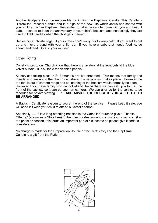Another Godparent can be responsible for lighting the Baptismal Candle. This Candle is lit from the Paschal Candle and is a sign of the new Life which Jesus has shared with your child at his/her Baptism. Remember to take the candle home with you and keep it safe. It can be re-lit on the anniversary of your child's baptism, and increasingly they are used to light candles when the child gets married.

Babies cry at christenings! if yours does don't worry, try to keep calm. If you want to get up and move around with your child, do. If you have a baby that needs feeding, go ahead and feed. Stick to your routine!

#### Other Points

Do let visitors to our Church know that there is a lavatory at the front behind the blue velvet curtain. It is suitable for disabled people.

All services taking place in St Edmund's are live streamed. This means that family and friends who are not in the church can share in a service as it takes place. However the the font is out of camera range and so nothing of the baptism would normally be seen. However if you have family who cannot attend the baptism we can set up a font at the front of the sacristy so it can be seen on camera. We can arrange for the service to be recorded for private viewing. **PLEASE ADVISE THE OFFICE IF YOU WISH THIS TO BE ARRANGED.**

A Baptism Certificate is given to you at the end of the service. Please keep it safe: you will need it if wish your child to attend a Catholic school.

And finally....... It is a long-standing tradition in the Catholic Church to give a 'Thanks Offering' (known as a Stole Fee) to the priest or deacon who conducts your service. (For the priest or deacon, this forms an important part of his income so please give it serious consideration.

No charge is made for the Preparation Course or the Certificate, and the Baptismal Candle is a gift from the Parish.

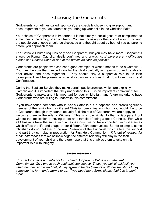# Choosing the Godparents

Godparents, sometimes called 'sponsors', are specially chosen to give support and encouragement to you as parents as you bring up your child in the Christian Faith.

Your choice of Godparents is important. It is not simply a social gesture or compliment to a member of the family, or an old friend. You are choosing for the good of **your child** and the people you choose should be discussed and thought about by both of you as parents before you approach them.

The Catholic Church requires only one Godparent, but you may have more. Godparents should be Roman Catholic, ideally confirmed and practising. *If there are any difficulties please see Deacon Seán or one of the priests as soon as possible.*

Godparents are people who can set a good example of what it means to be a Catholic. . You must be sure that they will care for the child spiritually as it grows up and be able to offer advice and encouragement. They should play a supportive role in its faith development and be present at special occasions such as First Holy Communion and Confirmation.

During the Baptism Service they make certain public promises which are explicitly Catholic and it is important that they understand this. It is an important commitment for Godparents to make, and it is important for your child's faith and future maturity to have Godparents who are willing to undertake this commitment.

If you have found someone who is **not** a Catholic but a baptised and practising friend/ member of the family from a different Christian denomination whom you would like to be a Godparent, though they cannot actually fulfil the role of Godparent we are happy to welcome them in the role of Witness. This is a role similar to that of Godparent but without the implication of having to set an example of being a good Catholic. For, while all Christians have the same faith in Jesus Christ, we do have important faith differences which affect the life and shape of our different faith communities. So, for example, some Christians do not believe in the real Presence of the Eucharist which alters the support and part they can play in preparation for First Holy Communion. *It is out of respect for these differences* that we acknowledge the different role they will play in the faith development of your child and therefore hope that this enables them to take on this important role with integrity.

#### ♦♦♦♦♦♦♦♦♦♦♦♦♦♦♦

*This pack contains a number of forms titled Godparent / Witness - Statement of Commitment. Give one to each adult that you choose. Those you ask should tell you what their decision is and only if they agree to be Godparents or Witnesses should they complete the form and return it to us. If you need more forms please feel free to print more.*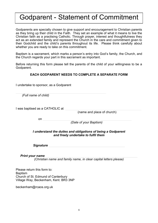# Godparent - Statement of Commitment

Godparents are specially chosen to give support and encouragement to Christian parents as they bring up their child in the Faith. They set an example of what it means to live the Christian faith as a practising Catholic. Through prayer, interest and thoughtfulness they act as an extended family and represent the Church in the care and commitment given to their Godchild and the child's parents throughout its life. Please think carefully about whether you are ready to take on this commitment.

Baptism is a sacrament, which marks a person's entry into God's family, the Church, and the Church regards your part in this sacrament as important.

Before returning this form please tell the parents of the child of your willingness to be a Godparent.

#### **EACH GODPARENT NEEDS TO COMPLETE A SEPARATE FORM**

I undertake to sponsor, as a Godparent

 *(Full name of child)*

I was baptised as a CATHOLIC at

(name and place of church)

 $\mathsf{on}$ 

 *(Date of your Baptism)*

*I understand the duties and obligations of being a Godparent and freely undertake to fulfil them*

*Signature* 

*Print your name* 

*(Christian name and family name, in clear capital letters please)*

Please return this form to: **Baptism** Church of St. Edmund of Canterbury Village Way, Beckenham, Kent. BR3 3NP

beckenham@rcaos.org.uk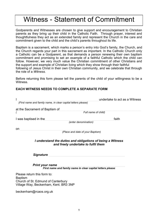# Witness - Statement of Commitment

Godparents and Witnesses are chosen to give support and encouragement to Christian parents as they bring up their child in the Catholic Faith. Through prayer, interest and thoughtfulness they act as an extended family and represent the Church in the care and commitment given to the child and the child's parents throughout its life.

Baptism is a sacrament, which marks a person's entry into God's family, the Church, and the Church regards your part in this sacrament as important. In the Catholic Church only a Catholic can be a Godparent, as that demands a person renewing their own baptism commitment and promising to set an example of a faithful Catholic which the child can follow. However, we very much value the Christian commitment of other Christians and the support and example of Christian living which they show through their faithful following of Jesus Christ in their own Christian community, and we celebrate that through the role of a *Witness.*

Before returning this form please tell the parents of the child of your willingness to be a **Witness** 

#### **EACH WITNESS NEEDS TO COMPLETE A SEPARATE FORM**

| (First name and family name, in clear capital letters please)                                     | undertake to act as a Witness |  |  |
|---------------------------------------------------------------------------------------------------|-------------------------------|--|--|
| at the Sacrament of Baptism of<br>Full name of child)                                             |                               |  |  |
| I was baptised in the<br>(enter denomination)                                                     | faith                         |  |  |
| on<br>(Place and date of your Baptism)                                                            |                               |  |  |
| I understand the duties and obligations of being a Witness<br>and freely undertake to fulfil them |                               |  |  |
| <b>Signature</b>                                                                                  |                               |  |  |
| <b>Print your name</b><br>First name and family name in clear capital letters please              |                               |  |  |
| Please return this form to:                                                                       |                               |  |  |

Baptism Church of St. Edmund of Canterbury Village Way, Beckenham, Kent. BR3 3NP

beckenham@rcaos.org.uk